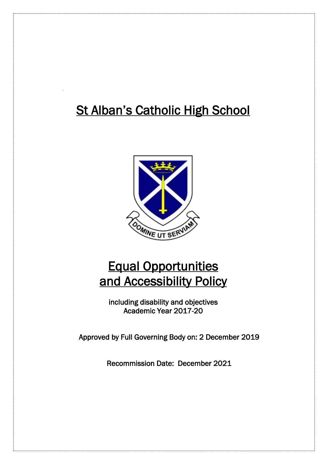# **St Alban's Catholic High School**



# Equal Opportunities and Accessibility Policy

including disability and objectives Academic Year 2017-20

Approved by Full Governing Body on: 2 December 2019

Recommission Date: December 2021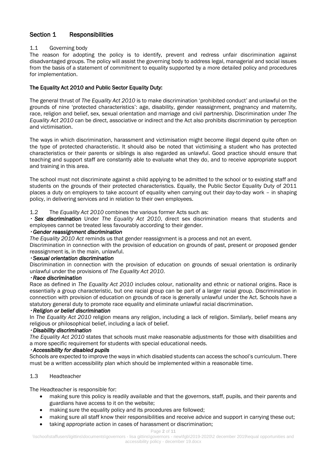# Section 1 Responsibilities

## 1.1 Governing body

The reason for adopting the policy is to identify, prevent and redress unfair discrimination against disadvantaged groups. The policy will assist the governing body to address legal, managerial and social issues from the basis of a statement of commitment to equality supported by a more detailed policy and procedures for implementation.

## The Equality Act 2010 and Public Sector Equality Duty:

The general thrust of *The Equality Act 2010* is to make discrimination 'prohibited conduct' and unlawful on the grounds of nine 'protected characteristics': age, disability, gender reassignment, pregnancy and maternity, race, religion and belief, sex, sexual orientation and marriage and civil partnership. Discrimination under *The Equality Act 2010* can be direct, associative or indirect and the Act also prohibits discrimination by perception and victimisation.

The ways in which discrimination, harassment and victimisation might become illegal depend quite often on the type of protected characteristic. It should also be noted that victimising a student who has protected characteristics or their parents or siblings is also regarded as unlawful. Good practice should ensure that teaching and support staff are constantly able to evaluate what they do, and to receive appropriate support and training in this area.

The school must not discriminate against a child applying to be admitted to the school or to existing staff and students on the grounds of their protected characteristics. Equally, the Public Sector Equality Duty of 2011 places a duty on employers to take account of equality when carrying out their day-to-day work – in shaping policy, in delivering services and in relation to their own employees.

## 1.2 The *Equality Act 2010* combines the various former Acts such as:

 *Sex discrimination* Under *The Equality Act 2010*, direct sex discrimination means that students and employees cannot be treated less favourably according to their gender.

#### *Gender reassignment discrimination*

*The Equality 2010 Act* reminds us that gender reassignment is a process and not an event.

Discrimination in connection with the provision of education on grounds of past, present or proposed gender reassignment is, in the main, unlawful.

## *Sexual orientation discrimination*

Discrimination in connection with the provision of education on grounds of sexual orientation is ordinarily unlawful under the provisions of *The Equality Act 2010*.

## *Race discrimination*

Race as defined in *The Equality Act 2010* includes colour, nationality and ethnic or national origins. Race is essentially a group characteristic, but one racial group can be part of a larger racial group. Discrimination in connection with provision of education on grounds of race is generally unlawful under the Act. Schools have a statutory general duty to promote race equality and eliminate unlawful racial discrimination.

#### *Religion or belief discrimination*

In *The Equality Act 2010* religion means any religion, including a lack of religion. Similarly, belief means any religious or philosophical belief, including a lack of belief.

## *Disability discrimination*

*The Equality Act 2010* states that schools must make reasonable adjustments for those with disabilities and a more specific requirement for students with special educational needs.

#### *Accessibility for disabled pupils*

Schools are expected to improve the ways in which disabled students can access the school's curriculum. There must be a written accessibility plan which should be implemented within a reasonable time.

## 1.3 Headteacher

The Headteacher is responsible for:

- making sure this policy is readily available and that the governors, staff, pupils, and their parents and guardians have access to it on the website;
- making sure the equality policy and its procedures are followed;
- making sure all staff know their responsibilities and receive advice and support in carrying these out;
- taking appropriate action in cases of harassment or discrimination;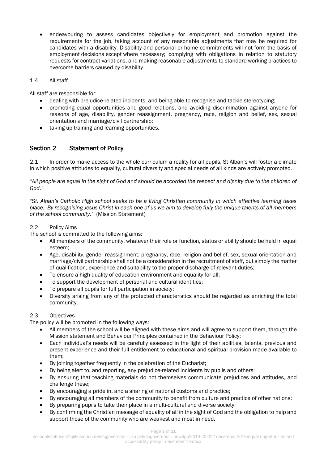endeavouring to assess candidates objectively for employment and promotion against the requirements for the job, taking account of any reasonable adjustments that may be required for candidates with a disability. Disability and personal or home commitments will not form the basis of employment decisions except where necessary; complying with obligations in relation to statutory requests for contract variations, and making reasonable adjustments to standard working practices to overcome barriers caused by disability.

## 1.4 All staff

All staff are responsible for:

- dealing with prejudice-related incidents, and being able to recognise and tackle stereotyping;
- promoting equal opportunities and good relations, and avoiding discrimination against anyone for reasons of age, disability, gender reassignment, pregnancy, race, religion and belief, sex, sexual orientation and marriage/civil partnership;
- taking up training and learning opportunities.

# Section 2 Statement of Policy

2.1 In order to make access to the whole curriculum a reality for all pupils, St Alban's will foster a climate in which positive attitudes to equality, cultural diversity and special needs of all kinds are actively promoted.

"All people are equal in the sight of God and should be accorded the respect and dignity due to the children of *God."*

*"St. Alban's Catholic High school seeks to be a living Christian community in which effective learning takes place. By recognising Jesus Christ in each one of us we aim to develop fully the unique talents of all members of the school community."* (Mission Statement)

## 2.2 Policy Aims

The school is committed to the following aims:

- All members of the community, whatever their role or function, status or ability should be held in equal esteem;
- Age, disability, gender reassignment, pregnancy, race, religion and belief, sex, sexual orientation and marriage/civil partnership shall not be a consideration in the recruitment of staff, but simply the matter of qualification, experience and suitability to the proper discharge of relevant duties;
- To ensure a high quality of education environment and equality for all;
- To support the development of personal and cultural identities;
- To prepare all pupils for full participation in society;
- Diversity arising from any of the protected characteristics should be regarded as enriching the total community.

## 2.3 Objectives

The policy will be promoted in the following ways:

- All members of the school will be aligned with these aims and will agree to support them, through the Mission statement and Behaviour Principles contained in the Behaviour Policy;
- Each individual's needs will be carefully assessed in the light of their abilities, talents, previous and present experience and their full entitlement to educational and spiritual provision made available to them;
- By joining together frequently in the celebration of the Eucharist;
- By being alert to, and reporting, any prejudice-related incidents by pupils and others;
- By ensuring that teaching materials do not themselves communicate prejudices and attitudes, and challenge these;
- By encouraging a pride in, and a sharing of national customs and practice;
- By encouraging all members of the community to benefit from culture and practice of other nations;
- By preparing pupils to take their place in a multi-cultural and diverse society;
- By confirming the Christian message of equality of all in the sight of God and the obligation to help and support those of the community who are weakest and most in need.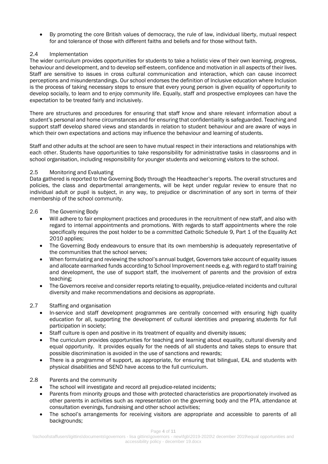By promoting the core British values of democracy, the rule of law, individual liberty, mutual respect for and tolerance of those with different faiths and beliefs and for those without faith.

## 2.4 Implementation

The wider curriculum provides opportunities for students to take a holistic view of their own learning, progress, behaviour and development, and to develop self-esteem, confidence and motivation in all aspects of their lives. Staff are sensitive to issues in cross cultural communication and interaction, which can cause incorrect perceptions and misunderstandings. Our school endorses the definition of Inclusive education where Inclusion is the process of taking necessary steps to ensure that every young person is given equality of opportunity to develop socially, to learn and to enjoy community life. Equally, staff and prospective employees can have the expectation to be treated fairly and inclusively.

There are structures and procedures for ensuring that staff know and share relevant information about a student's personal and home circumstances and for ensuring that confidentiality is safeguarded. Teaching and support staff develop shared views and standards in relation to student behaviour and are aware of ways in which their own expectations and actions may influence the behaviour and learning of students.

Staff and other adults at the school are seen to have mutual respect in their interactions and relationships with each other. Students have opportunities to take responsibility for administrative tasks in classrooms and in school organisation, including responsibility for younger students and welcoming visitors to the school.

## 2.5 Monitoring and Evaluating

Data gathered is reported to the Governing Body through the Headteacher's reports. The overall structures and policies, the class and departmental arrangements, will be kept under regular review to ensure that no individual adult or pupil is subject, in any way, to prejudice or discrimination of any sort in terms of their membership of the school community.

## 2.6 The Governing Body

- Will adhere to fair employment practices and procedures in the recruitment of new staff, and also with regard to internal appointments and promotions. With regards to staff appointments where the role specifically requires the post holder to be a committed Catholic Schedule 9, Part 1 of the Equality Act 2010 applies;
- The Governing Body endeavours to ensure that its own membership is adequately representative of the communities that the school serves;
- When formulating and reviewing the school's annual budget, Governors take account of equality issues and allocate earmarked funds according to School Improvement needs e.g. with regard to staff training and development, the use of support staff, the involvement of parents and the provision of extra teaching;
- The Governors receive and consider reports relating to equality, prejudice-related incidents and cultural diversity and make recommendations and decisions as appropriate.

## 2.7 Staffing and organisation

- In-service and staff development programmes are centrally concerned with ensuring high quality education for all, supporting the development of cultural identities and preparing students for full participation in society;
- Staff culture is open and positive in its treatment of equality and diversity issues;
- The curriculum provides opportunities for teaching and learning about equality, cultural diversity and equal opportunity. It provides equally for the needs of all students and takes steps to ensure that possible discrimination is avoided in the use of sanctions and rewards;
- There is a programme of support, as appropriate, for ensuring that bilingual, EAL and students with physical disabilities and SEND have access to the full curriculum.

## 2.8 Parents and the community

- The school will investigate and record all prejudice-related incidents;
- Parents from minority groups and those with protected characteristics are proportionately involved as other parents in activities such as representation on the governing body and the PTA, attendance at consultation evenings, fundraising and other school activities;
- The school's arrangements for receiving visitors are appropriate and accessible to parents of all backgrounds;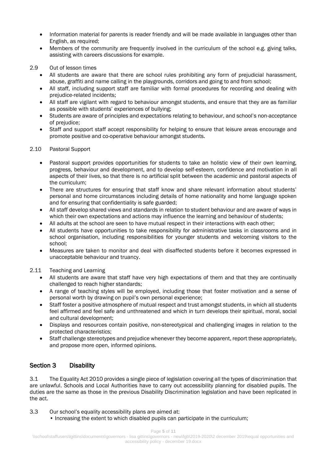- Information material for parents is reader friendly and will be made available in languages other than English, as required;
- Members of the community are frequently involved in the curriculum of the school e.g. giving talks, assisting with careers discussions for example.
- 2.9 Out of lesson times
	- All students are aware that there are school rules prohibiting any form of prejudicial harassment, abuse, graffiti and name calling in the playgrounds, corridors and going to and from school;
	- All staff, including support staff are familiar with formal procedures for recording and dealing with prejudice-related incidents;
	- All staff are vigilant with regard to behaviour amongst students, and ensure that they are as familiar as possible with students' experiences of bullying;
	- Students are aware of principles and expectations relating to behaviour, and school's non-acceptance of prejudice;
	- Staff and support staff accept responsibility for helping to ensure that leisure areas encourage and promote positive and co-operative behaviour amongst students.

#### 2.10 Pastoral Support

- Pastoral support provides opportunities for students to take an holistic view of their own learning, progress, behaviour and development, and to develop self-esteem, confidence and motivation in all aspects of their lives, so that there is no artificial split between the academic and pastoral aspects of the curriculum;
- There are structures for ensuring that staff know and share relevant information about students' personal and home circumstances including details of home nationality and home language spoken and for ensuring that confidentiality is safe guarded;
- All staff develop shared views and standards in relation to student behaviour and are aware of ways in which their own expectations and actions may influence the learning and behaviour of students;
- All adults at the school are seen to have mutual respect in their interactions with each other;
- All students have opportunities to take responsibility for administrative tasks in classrooms and in school organisation, including responsibilities for younger students and welcoming visitors to the school;
- Measures are taken to monitor and deal with disaffected students before it becomes expressed in unacceptable behaviour and truancy.

#### 2.11 Teaching and Learning

- All students are aware that staff have very high expectations of them and that they are continually challenged to reach higher standards;
- A range of teaching styles will be employed, including those that foster motivation and a sense of personal worth by drawing on pupil's own personal experience;
- Staff foster a positive atmosphere of mutual respect and trust amongst students, in which all students feel affirmed and feel safe and unthreatened and which in turn develops their spiritual, moral, social and cultural development;
- Displays and resources contain positive, non-stereotypical and challenging images in relation to the protected characteristics;
- Staff challenge stereotypes and prejudice whenever they become apparent, report these appropriately, and propose more open, informed opinions.

# Section 3 Disability

3.1 The Equality Act 2010 provides a single piece of legislation covering all the types of discrimination that are unlawful. Schools and Local Authorities have to carry out accessibility planning for disabled pupils. The duties are the same as those in the previous Disability Discrimination legislation and have been replicated in the act.

- 3.3 Our school's equality accessibility plans are aimed at:
	- Increasing the extent to which disabled pupils can participate in the curriculum;

Page **5** of **11**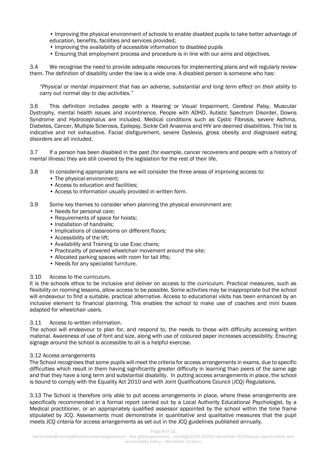• Improving the physical environment of schools to enable disabled pupils to take better advantage of education, benefits, facilities and services provided;

- Improving the availability of accessible information to disabled pupils
- Ensuring that employment process and procedure is in line with our aims and objectives.

3.4 We recognise the need to provide adequate resources for implementing plans and will regularly review them. The definition of disability under the law is a wide one. A disabled person is someone who has:

*"Physical or mental impairment that has an adverse, substantial and long term effect on their ability to carry out normal day to day activities."*

3.6 This definition includes people with a Hearing or Visual Impairment, Cerebral Palsy, Muscular Dystrophy, mental health issues and incontinence. People with ADHD, Autistic Spectrum Disorder, Downs Syndrome and Hydrocephalus are included. Medical conditions such as Cystic Fibrosis, severe Asthma, Diabetes, Cancer, Multiple Sclerosis, Epilepsy, Sickle Cell Anaemia and HIV are deemed disabilities. This list is indicative and not exhaustive. Facial disfigurement, severe Dyslexia, gross obesity and diagnosed eating disorders are all included.

3.7 If a person has been disabled in the past (for example, cancer recoverers and people with a history of mental illness) they are still covered by the legislation for the rest of their life.

- 3.8 In considering appropriate plans we will consider the three areas of improving access to:
	- The physical environment:
	- Access to education and facilities:
	- Access to information usually provided in written form.
- 3.9 Some key themes to consider when planning the physical environment are:
	- Needs for personal care;
	- Requirements of space for hoists;
	- Installation of handrails:
	- Implications of classrooms on different floors;
	- Accessibility of the lift;
	- Availability and Training to use Evac chairs;
	- Practicality of powered wheelchair movement around the site;
	- Allocated parking spaces with room for tail lifts;
	- Needs for any specialist furniture.

#### 3.10 Access to the curriculum.

It is the schools ethos to be inclusive and deliver on access to the curriculum. Practical measures, such as flexibility on rooming lessons, allow access to be possible. Some activities may be inappropriate but the school will endeavour to find a suitable, practical alternative. Access to educational visits has been enhanced by an inclusive element to financial planning. This enables the school to make use of coaches and mini buses adapted for wheelchair users.

#### 3.11 Access to written information.

The school will endeavour to plan for, and respond to, the needs to those with difficulty accessing written material. Awareness of use of font and size, along with use of coloured paper increases accessibility. Ensuring signage around the school is accessible to all is a helpful exercise.

#### 3.12 Access arrangements

The School recognises that some pupils will meet the criteria for access arrangements in exams, due to specific difficulties which result in them having significantly greater difficulty in learning than peers of the same age and that they have a long term and substantial disability. In putting access arrangements in place, the school is bound to comply with the Equality Act 2010 and with Joint Qualifications Council (JCQ) Regulations.

3.13 The School is therefore only able to put access arrangements in place, where these arrangements are specifically recommended in a formal report carried out by a Local Authority Educational Psychologist, by a Medical practitioner, or an appropriately qualified assessor appointed by the school within the time frame stipulated by JCQ. Assessments must demonstrate in quantitative and qualitative measures that the pupil meets JCQ criteria for access arrangements as set out in the JCQ guidelines published annually.

Page **6** of **11**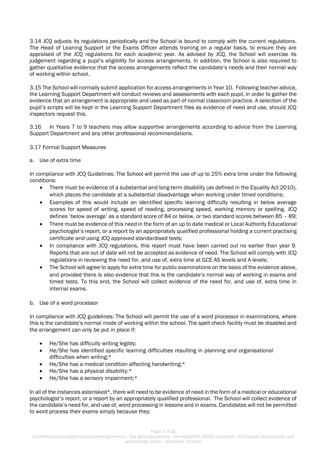3.14 JCQ adjusts its regulations periodically and the School is bound to comply with the current regulations. The Head of Leaning Support or the Exams Officer attends training on a regular basis, to ensure they are appraised of the JCQ regulations for each academic year. As advised by JCQ, the School will exercise its judgement regarding a pupil's eligibility for access arrangements. In addition, the School is also required to gather qualitative evidence that the access arrangements reflect the candidate's needs and their normal way of working within school.

3.15 The School will normally submit application for access arrangements in Year 10. Following teacher advice, the Learning Support Department will conduct reviews and assessments with each pupil, in order to gather the evidence that an arrangement is appropriate and used as part of normal classroom practice. A selection of the pupil's scripts will be kept in the Learning Support Department files as evidence of need and use, should JCQ inspectors request this.

3.16 In Years 7 to 9 teachers may allow supportive arrangements according to advice from the Learning Support Department and any other professional recommendations.

#### 3.17 Formal Support Measures

#### a. Use of extra time

In compliance with JCQ Guidelines: The School will permit the use of up to 25% extra time under the following conditions:

- There must be evidence of a substantial and long-term disability (as defined in the Equality Act 2010), which places the candidate at a substantial disadvantage when working under timed conditions;
- Examples of this would include an identified specific learning difficulty resulting in below average scores for speed of writing, speed of reading, processing speed, working memory or spelling. JCQ defines 'below average' as a standard score of 84 or below, or two standard scores between 85 – 89;
- There must be evidence of this need in the form of an up to date medical or Local Authority Educational psychologist's report, or a report by an appropriately qualified professional holding a current practising certificate and using JCQ approved standardised tests;
- In compliance with JCQ regulations, this report must have been carried out no earlier than year 9. Reports that are out of date will not be accepted as evidence of need. The School will comply with JCQ regulations in reviewing the need for, and use of, extra time at GCE AS levels and A levels;
- The School will agree to apply for extra time for public examinations on the basis of the evidence above, and provided there is also evidence that this is the candidate's normal way of working in exams and timed tests. To this end, the School will collect evidence of the need for, and use of, extra time in internal exams.

#### b. Use of a word processor

In compliance with JCQ guidelines: The School will permit the use of a word processor in examinations, where this is the candidate's normal mode of working within the school. The spell check facility must be disabled and the arrangement can only be put in place if:

- He/She has difficulty writing legibly;
- He/She has identified specific learning difficulties resulting in planning and organisational difficulties when writing;\*
- He/She has a medical condition affecting handwriting;\*
- He/She has a physical disability;\*
- He/She has a sensory impairment:\*

In all of the instances asterisked\*, there will need to be evidence of need in the form of a medical or educational psychologist's report, or a report by an appropriately qualified professional. The School will collect evidence of the candidate's need for, and use of, word processing in lessons and in exams. Candidates will not be permitted to word process their exams simply because they: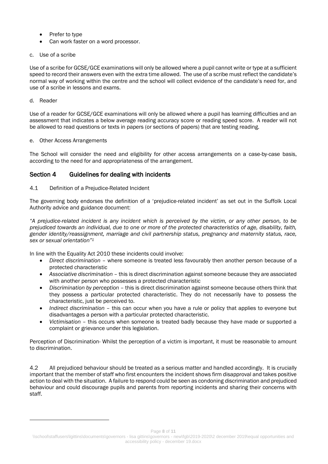- Prefer to type
- Can work faster on a word processor.
- c. Use of a scribe

Use of a scribe for GCSE/GCE examinations will only be allowed where a pupil cannot write or type at a sufficient speed to record their answers even with the extra time allowed. The use of a scribe must reflect the candidate's normal way of working within the centre and the school will collect evidence of the candidate's need for, and use of a scribe in lessons and exams.

d. Reader

-

Use of a reader for GCSE/GCE examinations will only be allowed where a pupil has learning difficulties and an assessment that indicates a below average reading accuracy score or reading speed score. A reader will not be allowed to read questions or texts in papers (or sections of papers) that are testing reading.

## e. Other Access Arrangements

The School will consider the need and eligibility for other access arrangements on a case-by-case basis, according to the need for and appropriateness of the arrangement.

# Section 4 Guidelines for dealing with incidents

## 4.1 Definition of a Prejudice-Related Incident

The governing body endorses the definition of a 'prejudice-related incident' as set out in the Suffolk Local Authority advice and guidance document:

*"A prejudice-related incident is any incident which is perceived by the victim, or any other person, to be prejudiced towards an individual, due to one or more of the protected characteristics of age, disability, faith, gender identity/reassignment, marriage and civil partnership status, pregnancy and maternity status, race, sex or sexual orientation"<sup>1</sup>*

In line with the Equality Act 2010 these incidents could involve:

- *Direct discrimination* where someone is treated less favourably then another person because of a protected characteristic
- *Associative discrimination* this is direct discrimination against someone because they are associated with another person who possesses a protected characteristic
- *Discrimination by perception* this is direct discrimination against someone because others think that they possess a particular protected characteristic. They do not necessarily have to possess the characteristic, just be perceived to.
- *Indirect discrimination* this can occur when you have a rule or policy that applies to everyone but disadvantages a person with a particular protected characteristic.
- *Victimisation* this occurs when someone is treated badly because they have made or supported a complaint or grievance under this legislation.

Perception of Discrimination- Whilst the perception of a victim is important, it must be reasonable to amount to discrimination.

4.2 All prejudiced behaviour should be treated as a serious matter and handled accordingly. It is crucially important that the member of staff who first encounters the incident shows firm disapproval and takes positive action to deal with the situation. A failure to respond could be seen as condoning discrimination and prejudiced behaviour and could discourage pupils and parents from reporting incidents and sharing their concerns with staff.

Page **8** of **11**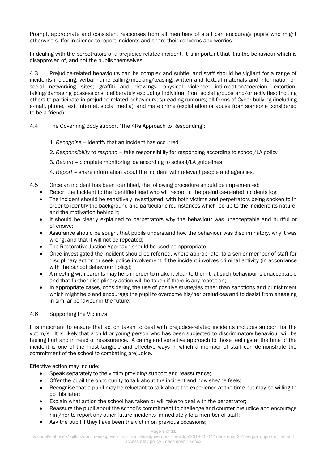Prompt, appropriate and consistent responses from all members of staff can encourage pupils who might otherwise suffer in silence to report incidents and share their concerns and worries.

In dealing with the perpetrators of a prejudice-related incident, it is important that it is the behaviour which is disapproved of, and not the pupils themselves.

4.3 Prejudice-related behaviours can be complex and subtle, and staff should be vigilant for a range of incidents including: verbal name calling/mocking/teasing; written and textual materials and information on social networking sites; graffiti and drawings; physical violence; intimidation/coercion; extortion; taking/damaging possessions; deliberately excluding individual from social groups and/or activities; inciting others to participate in prejudice-related behaviours; spreading rumours; all forms of Cyber-bullying (including e-mail, phone, text, internet, social media); and mate crime (exploitation or abuse from someone considered to be a friend).

- 4.4 The Governing Body support 'The 4Rs Approach to Responding':
	- 1. *Recognise* identify that an incident has occurred
	- 2. *Responsibility to respond* take responsibility for responding according to school/LA policy
	- 3. *Record* complete monitoring log according to school/LA guidelines
	- 4. *Report* share information about the incident with relevant people and agencies.
- 4.5 Once an incident has been identified, the following procedure should be implemented:
	- Report the incident to the identified lead who will record in the prejudice-related incidents log;
	- The incident should be sensitively investigated, with both victims and perpetrators being spoken to in order to identify the background and particular circumstances which led up to the incident; its nature, and the motivation behind it;
	- It should be clearly explained to perpetrators why the behaviour was unacceptable and hurtful or offensive;
	- Assurance should be sought that pupils understand how the behaviour was discriminatory, why it was wrong, and that it will not be repeated;
	- The Restorative Justice Approach should be used as appropriate;
	- Once investigated the incident should be referred, where appropriate, to a senior member of staff for disciplinary action or seek police involvement if the incident involves criminal activity (in accordance with the School Behaviour Policy);
	- A meeting with parents may help in order to make it clear to them that such behaviour is unacceptable and that further disciplinary action will be taken if there is any repetition;
	- In appropriate cases, considering the use of positive strategies other than sanctions and punishment which might help and encourage the pupil to overcome his/her prejudices and to desist from engaging in similar behaviour in the future;

# 4.6 Supporting the Victim/s

It is important to ensure that action taken to deal with prejudice-related incidents includes support for the victim/s. It is likely that a child or young person who has been subjected to discriminatory behaviour will be feeling hurt and in need of reassurance. A caring and sensitive approach to those feelings at the time of the incident is one of the most tangible and effective ways in which a member of staff can demonstrate the commitment of the school to combating prejudice.

Effective action may include:

- Speak separately to the victim providing support and reassurance;
- Offer the pupil the opportunity to talk about the incident and how she/he feels;
- Recognise that a pupil may be reluctant to talk about the experience at the time but may be willing to do this later;
- Explain what action the school has taken or will take to deal with the perpetrator;
- Reassure the pupil about the school's commitment to challenge and counter prejudice and encourage him/her to report any other future incidents immediately to a member of staff;
- Ask the pupil if they have been the victim on previous occasions;

#### Page **9** of **11**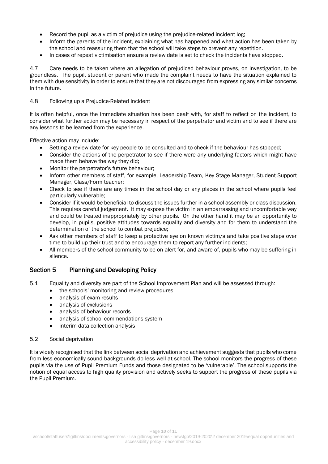- Record the pupil as a victim of prejudice using the prejudice-related incident log;
- Inform the parents of the incident, explaining what has happened and what action has been taken by the school and reassuring them that the school will take steps to prevent any repetition.
- In cases of repeat victimisation ensure a review date is set to check the incidents have stopped.

4.7 Care needs to be taken where an allegation of prejudiced behaviour proves, on investigation, to be groundless. The pupil, student or parent who made the complaint needs to have the situation explained to them with due sensitivity in order to ensure that they are not discouraged from expressing any similar concerns in the future.

## 4.8 Following up a Prejudice-Related Incident

It is often helpful, once the immediate situation has been dealt with, for staff to reflect on the incident, to consider what further action may be necessary in respect of the perpetrator and victim and to see if there are any lessons to be learned from the experience.

Effective action may include:

- Setting a review date for key people to be consulted and to check if the behaviour has stopped;
- Consider the actions of the perpetrator to see if there were any underlying factors which might have made them behave the way they did;
- Monitor the perpetrator's future behaviour;
- Inform other members of staff, for example, Leadership Team, Key Stage Manager, Student Support Manager, Class/Form teacher;
- Check to see if there are any times in the school day or any places in the school where pupils feel particularly vulnerable;
- Consider if it would be beneficial to discuss the issues further in a school assembly or class discussion. This requires careful judgement. It may expose the victim in an embarrassing and uncomfortable way and could be treated inappropriately by other pupils. On the other hand it may be an opportunity to develop, in pupils, positive attitudes towards equality and diversity and for them to understand the determination of the school to combat prejudice;
- Ask other members of staff to keep a protective eye on known victim/s and take positive steps over time to build up their trust and to encourage them to report any further incidents;
- All members of the school community to be on alert for, and aware of, pupils who may be suffering in silence.

# Section 5 Planning and Developing Policy

- 5.1 Equality and diversity are part of the School Improvement Plan and will be assessed through:
	- the schools' monitoring and review procedures
	- analysis of exam results
	- analysis of exclusions
	- analysis of behaviour records
	- analysis of school commendations system
	- interim data collection analysis

## 5.2 Social deprivation

It is widely recognised that the link between social deprivation and achievement suggests that pupils who come from less economically sound backgrounds do less well at school. The school monitors the progress of these pupils via the use of Pupil Premium Funds and those designated to be 'vulnerable'. The school supports the notion of equal access to high quality provision and actively seeks to support the progress of these pupils via the Pupil Premium.